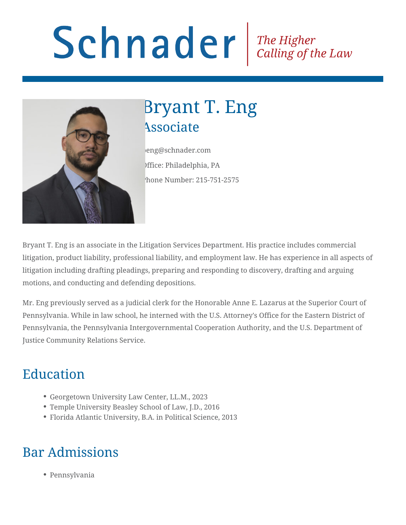# Schnader Fine Higher Calling of the Law



## Bryant T. Eng **Associate**

beng@schnader.com Office: Philadelphia, PA Phone Number: 215-751-2575

Bryant T. Eng is an associate in the Litigation Services Department. His practice includes commercial litigation, product liability, professional liability, and employment law. He has experience in all aspects of litigation including drafting pleadings, preparing and responding to discovery, drafting and arguing motions, and conducting and defending depositions.

Mr. Eng previously served as a judicial clerk for the Honorable Anne E. Lazarus at the Superior Court of Pennsylvania. While in law school, he interned with the U.S. Attorney's Office for the Eastern District of Pennsylvania, the Pennsylvania Intergovernmental Cooperation Authority, and the U.S. Department of Justice Community Relations Service.

## Education

- Georgetown University Law Center, LL.M., 2023
- Temple University Beasley School of Law, J.D., 2016
- Florida Atlantic University, B.A. in Political Science, 2013

## Bar Admissions

Pennsylvania